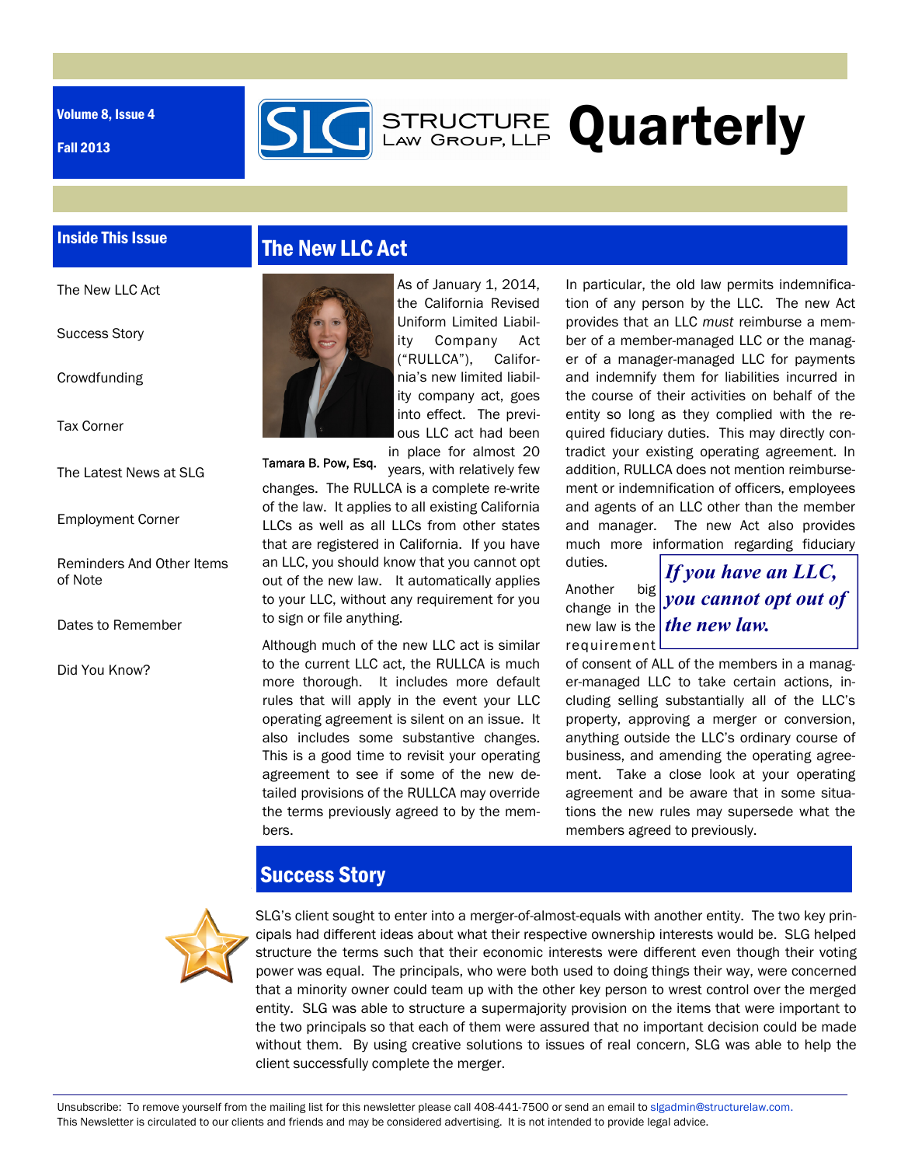Volume 8, Issue 4

Fall 2013



# STRUCTURE Quarterly

## Inside This Issue

The New LLC Act

Success Story

Crowdfunding

Tax Corner

The Latest News at SLG

Employment Corner

Reminders And Other Items of Note

Dates to Remember

Did You Know?

# The New LLC Act



As of January 1, 2014, the California Revised Uniform Limited Liability Company Act ("RULLCA"), California's new limited liability company act, goes into effect. The previous LLC act had been in place for almost 20

years, with relatively few changes. The RULLCA is a complete re-write of the law. It applies to all existing California LLCs as well as all LLCs from other states that are registered in California. If you have an LLC, you should know that you cannot opt out of the new law. It automatically applies to your LLC, without any requirement for you to sign or file anything. Tamara B. Pow, Esq.

Although much of the new LLC act is similar to the current LLC act, the RULLCA is much more thorough. It includes more default rules that will apply in the event your LLC operating agreement is silent on an issue. It also includes some substantive changes. This is a good time to revisit your operating agreement to see if some of the new detailed provisions of the RULLCA may override the terms previously agreed to by the members.

In particular, the old law permits indemnification of any person by the LLC. The new Act provides that an LLC *must* reimburse a member of a member-managed LLC or the manager of a manager-managed LLC for payments and indemnify them for liabilities incurred in the course of their activities on behalf of the entity so long as they complied with the required fiduciary duties. This may directly contradict your existing operating agreement. In addition, RULLCA does not mention reimbursement or indemnification of officers, employees and agents of an LLC other than the member and manager. The new Act also provides much more information regarding fiduciary

Another big change in the requirement

duties.

new law is the *the new law. If you have an LLC, you cannot opt out of* 

of consent of ALL of the members in a manager-managed LLC to take certain actions, including selling substantially all of the LLC's property, approving a merger or conversion, anything outside the LLC's ordinary course of business, and amending the operating agreement. Take a close look at your operating agreement and be aware that in some situations the new rules may supersede what the members agreed to previously.

# Success Story



SLG's client sought to enter into a merger-of-almost-equals with another entity. The two key principals had different ideas about what their respective ownership interests would be. SLG helped structure the terms such that their economic interests were different even though their voting power was equal. The principals, who were both used to doing things their way, were concerned that a minority owner could team up with the other key person to wrest control over the merged entity. SLG was able to structure a supermajority provision on the items that were important to the two principals so that each of them were assured that no important decision could be made without them. By using creative solutions to issues of real concern, SLG was able to help the client successfully complete the merger.

Unsubscribe: To remove yourself from the mailing list for this newsletter please call 408-441-7500 or send an email to slgadmin@structurelaw.com. This Newsletter is circulated to our clients and friends and may be considered advertising. It is not intended to provide legal advice.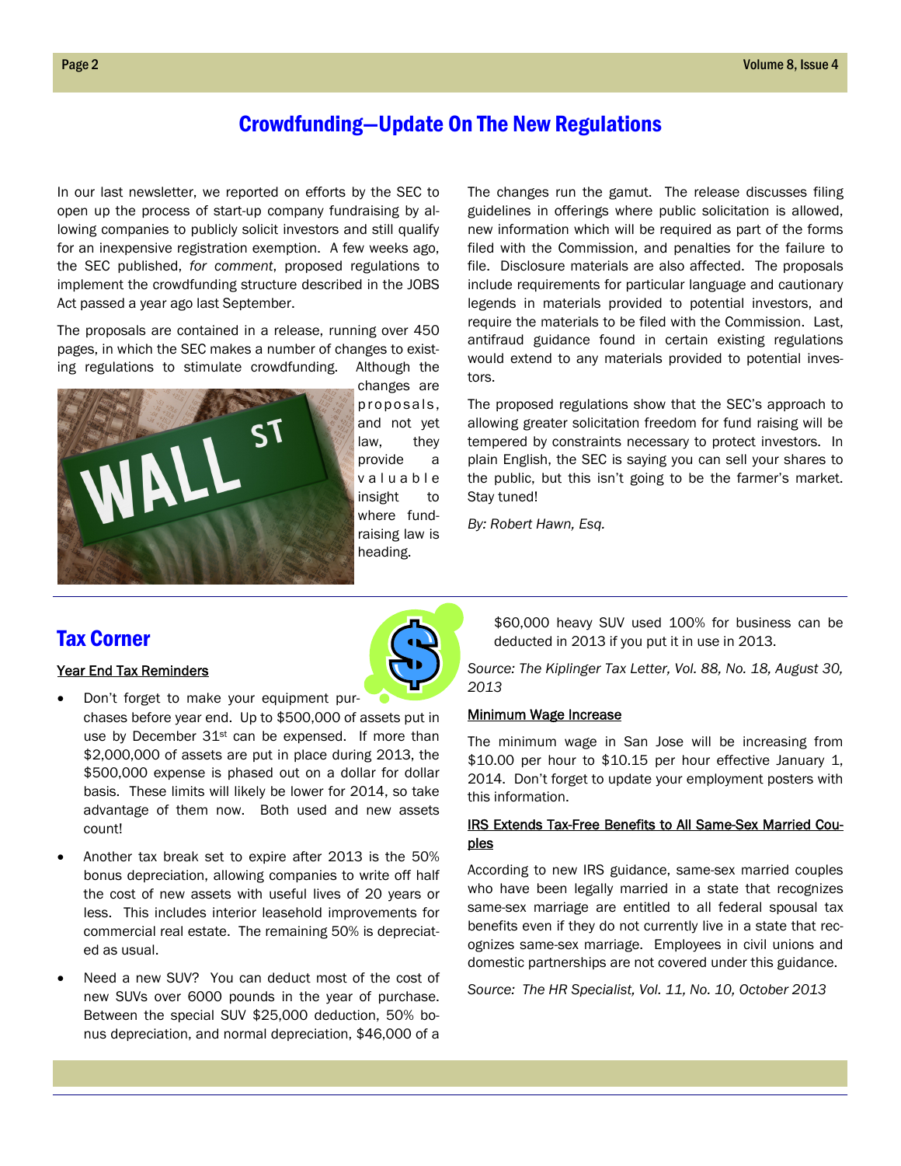## Crowdfunding—Update On The New Regulations

In our last newsletter, we reported on efforts by the SEC to open up the process of start-up company fundraising by allowing companies to publicly solicit investors and still qualify for an inexpensive registration exemption. A few weeks ago, the SEC published, *for comment*, proposed regulations to implement the crowdfunding structure described in the JOBS Act passed a year ago last September.

The proposals are contained in a release, running over 450 pages, in which the SEC makes a number of changes to existing regulations to stimulate crowdfunding. Although the



changes are proposals, and not yet law, they provide a v a l u a b l e insight to where fundraising law is heading.

The changes run the gamut. The release discusses filing guidelines in offerings where public solicitation is allowed, new information which will be required as part of the forms filed with the Commission, and penalties for the failure to file. Disclosure materials are also affected. The proposals include requirements for particular language and cautionary legends in materials provided to potential investors, and require the materials to be filed with the Commission. Last, antifraud guidance found in certain existing regulations would extend to any materials provided to potential investors.

The proposed regulations show that the SEC's approach to allowing greater solicitation freedom for fund raising will be tempered by constraints necessary to protect investors. In plain English, the SEC is saying you can sell your shares to the public, but this isn't going to be the farmer's market. Stay tuned!

*By: Robert Hawn, Esq.* 

## Tax Corner

#### Year End Tax Reminders

- Don't forget to make your equipment purchases before year end. Up to \$500,000 of assets put in use by December 31<sup>st</sup> can be expensed. If more than \$2,000,000 of assets are put in place during 2013, the \$500,000 expense is phased out on a dollar for dollar basis. These limits will likely be lower for 2014, so take advantage of them now. Both used and new assets count!
- Another tax break set to expire after 2013 is the 50% bonus depreciation, allowing companies to write off half the cost of new assets with useful lives of 20 years or less. This includes interior leasehold improvements for commercial real estate. The remaining 50% is depreciated as usual.
- Need a new SUV? You can deduct most of the cost of new SUVs over 6000 pounds in the year of purchase. Between the special SUV \$25,000 deduction, 50% bonus depreciation, and normal depreciation, \$46,000 of a

\$60,000 heavy SUV used 100% for business can be deducted in 2013 if you put it in use in 2013.

*Source: The Kiplinger Tax Letter, Vol. 88, No. 18, August 30, 2013* 

#### Minimum Wage Increase

The minimum wage in San Jose will be increasing from \$10.00 per hour to \$10.15 per hour effective January 1, 2014. Don't forget to update your employment posters with this information.

## IRS Extends Tax-Free Benefits to All Same-Sex Married Couples

According to new IRS guidance, same-sex married couples who have been legally married in a state that recognizes same-sex marriage are entitled to all federal spousal tax benefits even if they do not currently live in a state that recognizes same-sex marriage. Employees in civil unions and domestic partnerships are not covered under this guidance.

*Source: The HR Specialist, Vol. 11, No. 10, October 2013*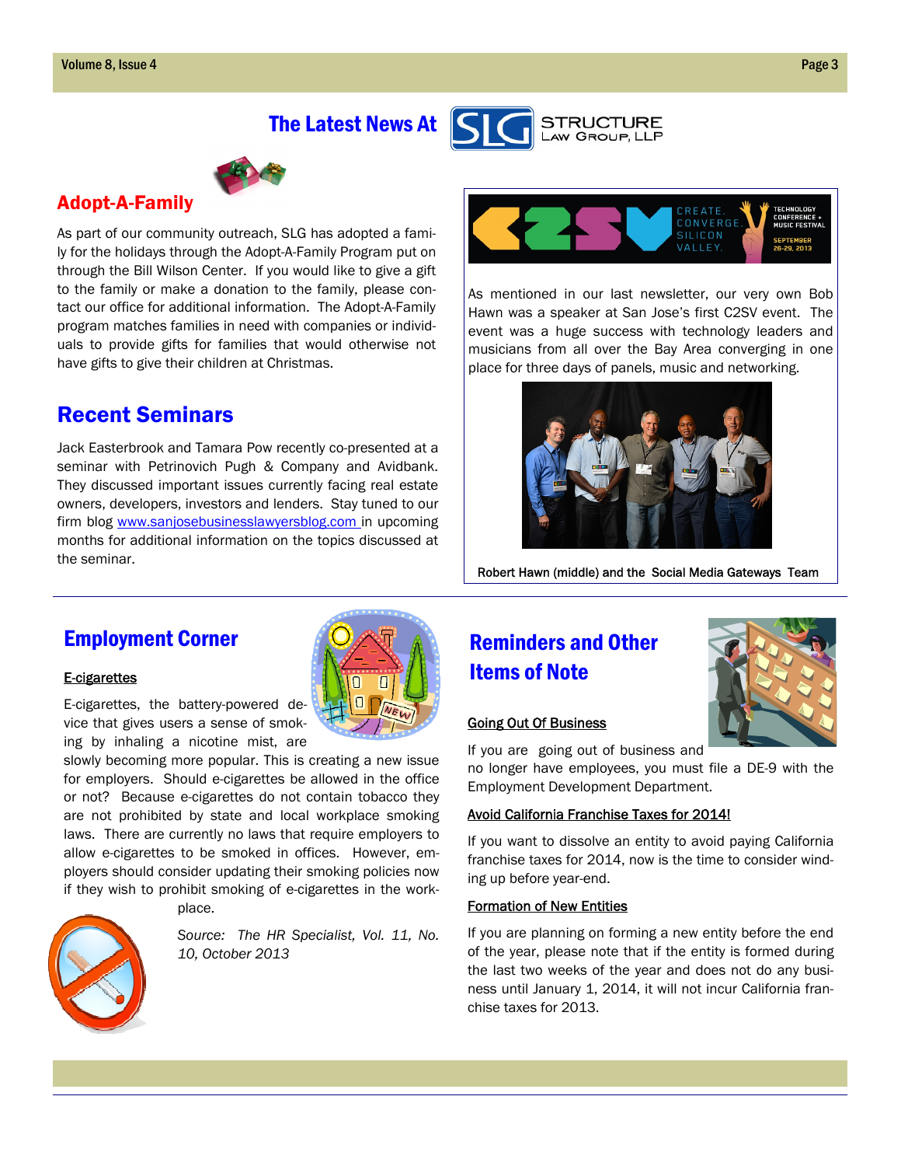



## Adopt-A-Family

As part of our community outreach, SLG has adopted a family for the holidays through the Adopt-A-Family Program put on through the Bill Wilson Center. If you would like to give a gift to the family or make a donation to the family, please contact our office for additional information. The Adopt-A-Family program matches families in need with companies or individuals to provide gifts for families that would otherwise not have gifts to give their children at Christmas.

# Recent Seminars

Jack Easterbrook and Tamara Pow recently co-presented at a seminar with Petrinovich Pugh & Company and Avidbank. They discussed important issues currently facing real estate owners, developers, investors and lenders. Stay tuned to our firm blog www.sanjosebusinesslawyersblog.com in upcoming months for additional information on the topics discussed at the seminar.



As mentioned in our last newsletter, our very own Bob Hawn was a speaker at San Jose's first C2SV event. The event was a huge success with technology leaders and musicians from all over the Bay Area converging in one place for three days of panels, music and networking.



Robert Hawn (middle) and the Social Media Gateways Team

## Employment Corner

## E-cigarettes

E-cigarettes, the battery-powered device that gives users a sense of smoking by inhaling a nicotine mist, are

slowly becoming more popular. This is creating a new issue for employers. Should e-cigarettes be allowed in the office or not? Because e-cigarettes do not contain tobacco they are not prohibited by state and local workplace smoking laws. There are currently no laws that require employers to allow e-cigarettes to be smoked in offices. However, employers should consider updating their smoking policies now if they wish to prohibit smoking of e-cigarettes in the work-



place.

*Source: The HR Specialist, Vol. 11, No. 10, October 2013* 

# Reminders and Other Items of Note

#### Going Out Of Business

If you are going out of business and

no longer have employees, you must file a DE-9 with the Employment Development Department.

## Avoid California Franchise Taxes for 2014!

If you want to dissolve an entity to avoid paying California franchise taxes for 2014, now is the time to consider winding up before year-end.

## Formation of New Entities

If you are planning on forming a new entity before the end of the year, please note that if the entity is formed during the last two weeks of the year and does not do any business until January 1, 2014, it will not incur California franchise taxes for 2013.